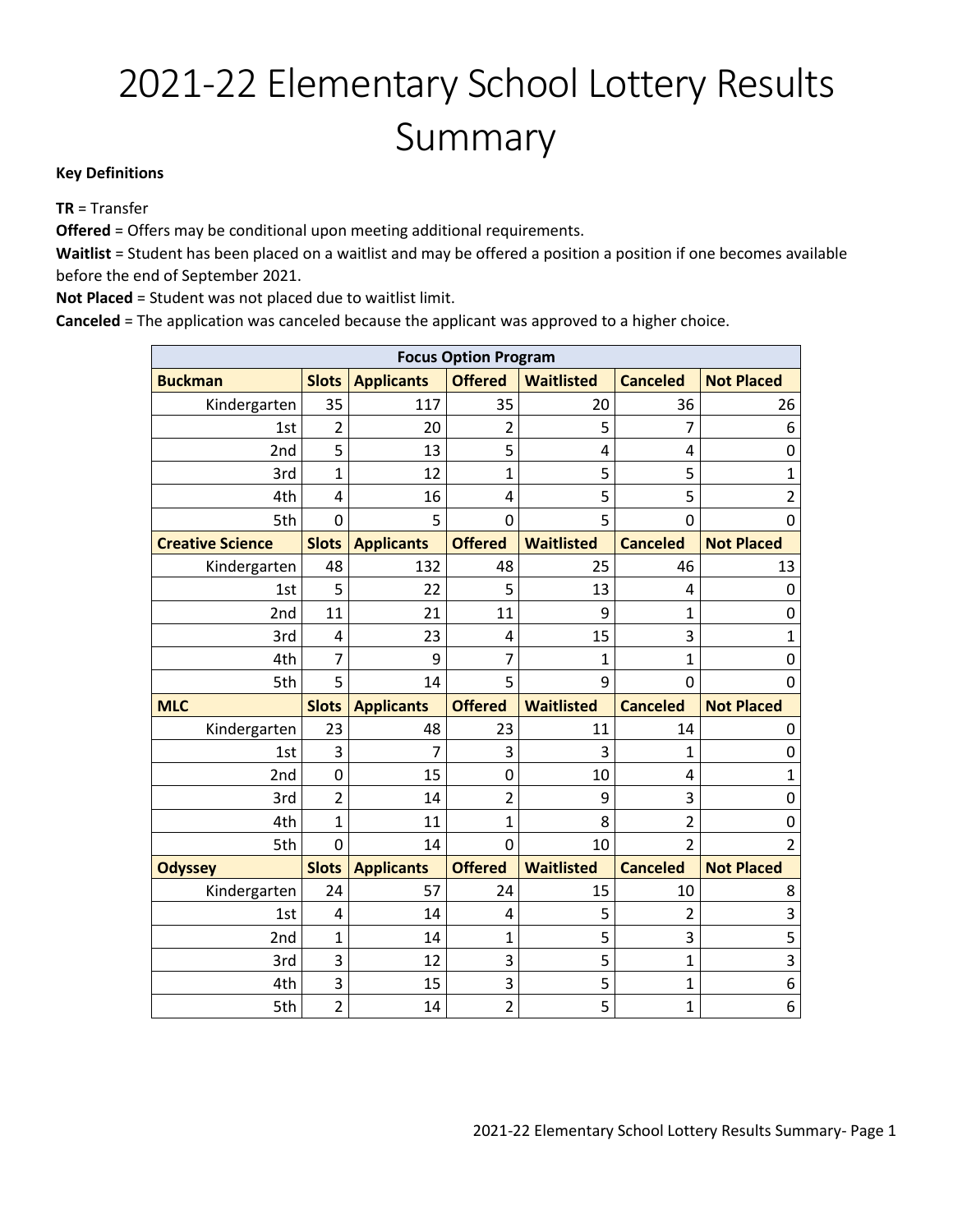## 2021-22 Elementary School Lottery Results Summary

## **Key Definitions**

**TR** = Transfer

**Offered** = Offers may be conditional upon meeting additional requirements.

**Waitlist** = Student has been placed on a waitlist and may be offered a position a position if one becomes available before the end of September 2021.

**Not Placed** = Student was not placed due to waitlist limit.

**Canceled** = The application was canceled because the applicant was approved to a higher choice.

| <b>Focus Option Program</b> |                |                   |                |                   |                 |                   |
|-----------------------------|----------------|-------------------|----------------|-------------------|-----------------|-------------------|
| <b>Buckman</b>              | <b>Slots</b>   | <b>Applicants</b> | <b>Offered</b> | <b>Waitlisted</b> | <b>Canceled</b> | <b>Not Placed</b> |
| Kindergarten                | 35             | 117               | 35             | 20                | 36              | 26                |
| 1st                         | $\overline{2}$ | 20                | $\overline{2}$ | 5                 | 7               | 6                 |
| 2nd                         | 5              | 13                | 5              | 4                 | 4               | $\mathbf 0$       |
| 3rd                         | $\mathbf{1}$   | 12                | $\mathbf{1}$   | 5                 | 5               | 1                 |
| 4th                         | 4              | 16                | 4              | 5                 | 5               | $\overline{2}$    |
| 5th                         | $\overline{0}$ | 5                 | 0              | 5                 | 0               | $\overline{0}$    |
| <b>Creative Science</b>     | <b>Slots</b>   | <b>Applicants</b> | <b>Offered</b> | <b>Waitlisted</b> | <b>Canceled</b> | <b>Not Placed</b> |
| Kindergarten                | 48             | 132               | 48             | 25                | 46              | 13                |
| 1st                         | 5              | 22                | 5              | 13                | 4               | 0                 |
| 2nd                         | 11             | 21                | 11             | 9                 | 1               | $\mathbf 0$       |
| 3rd                         | $\overline{4}$ | 23                | 4              | 15                | 3               | $\mathbf 1$       |
| 4th                         | 7              | 9                 | 7              | 1                 | $\mathbf{1}$    | 0                 |
| 5th                         | 5              | 14                | 5              | 9                 | $\Omega$        | $\overline{0}$    |
| <b>MLC</b>                  | <b>Slots</b>   | <b>Applicants</b> | <b>Offered</b> | <b>Waitlisted</b> | <b>Canceled</b> | <b>Not Placed</b> |
| Kindergarten                | 23             | 48                | 23             | 11                | 14              | 0                 |
| 1st                         | 3              | 7                 | 3              | 3                 | 1               | 0                 |
| 2nd                         | $\mathbf 0$    | 15                | 0              | 10                | 4               | $\mathbf{1}$      |
| 3rd                         | $\overline{2}$ | 14                | $\overline{2}$ | 9                 | 3               | 0                 |
| 4th                         | $\mathbf{1}$   | 11                | $\mathbf{1}$   | 8                 | $\overline{2}$  | 0                 |
| 5th                         | $\mathbf 0$    | 14                | 0              | 10                | $\overline{2}$  | $\overline{2}$    |
| <b>Odyssey</b>              | <b>Slots</b>   | <b>Applicants</b> | <b>Offered</b> | <b>Waitlisted</b> | <b>Canceled</b> | <b>Not Placed</b> |
| Kindergarten                | 24             | 57                | 24             | 15                | 10              | 8                 |
| 1st                         | 4              | 14                | 4              | 5                 | 2               | 3                 |
| 2nd                         | $\overline{1}$ | 14                | 1              | 5                 | 3               | 5                 |
| 3rd                         | 3              | 12                | 3              | 5                 | $\mathbf{1}$    | 3                 |
| 4th                         | 3              | 15                | 3              | 5                 | $\mathbf{1}$    | 6                 |
| 5th                         | $\overline{2}$ | 14                | $\overline{2}$ | 5                 | $\mathbf{1}$    | 6                 |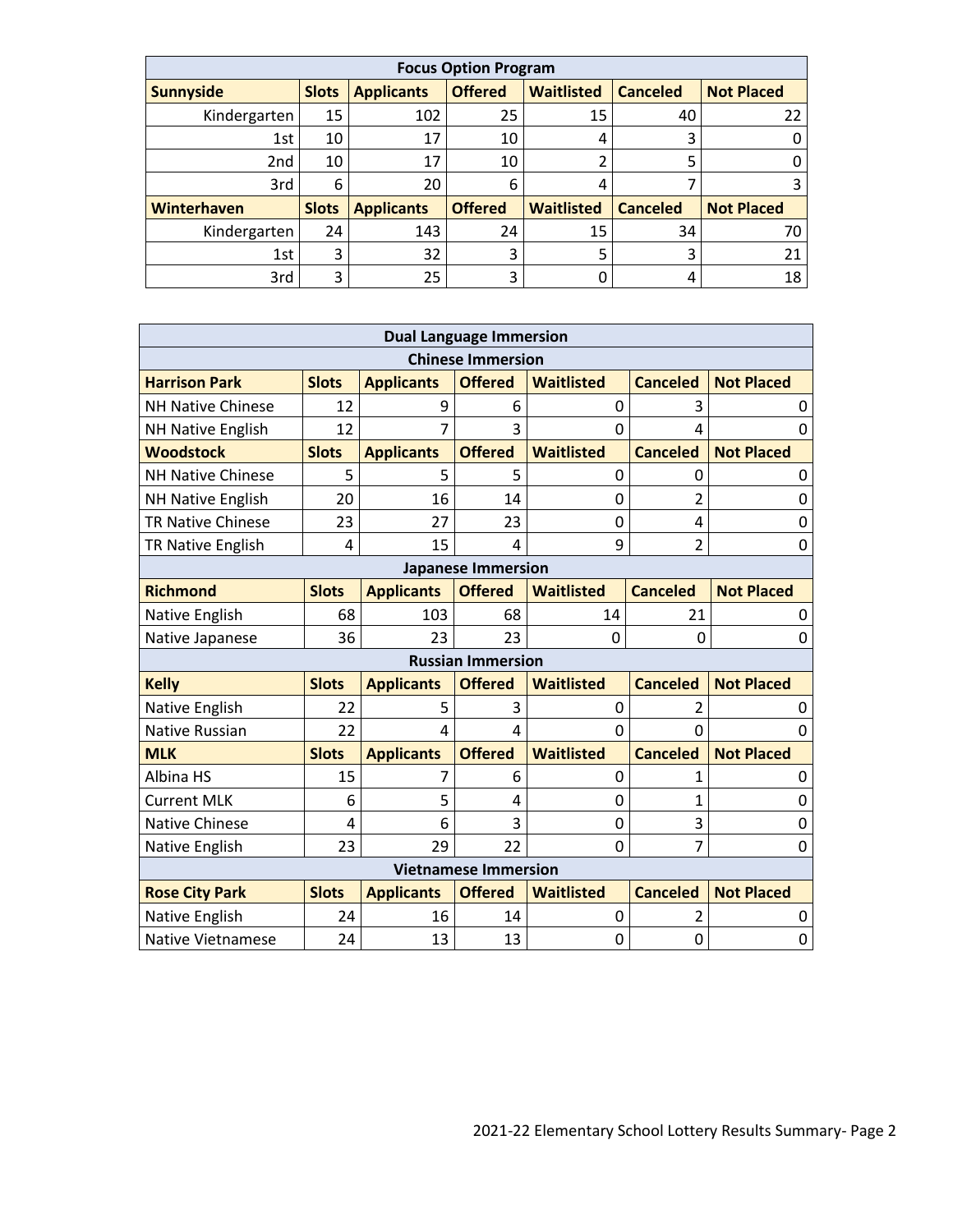| <b>Focus Option Program</b> |              |                   |                |                   |                 |                   |
|-----------------------------|--------------|-------------------|----------------|-------------------|-----------------|-------------------|
| <b>Sunnyside</b>            | <b>Slots</b> | <b>Applicants</b> | <b>Offered</b> | <b>Waitlisted</b> | <b>Canceled</b> | <b>Not Placed</b> |
| Kindergarten                | 15           | 102               | 25             | 15                | 40              | 22                |
| 1st                         | 10           | 17                | 10             | 4                 | 3               |                   |
| 2 <sub>nd</sub>             | 10           | 17                | 10             |                   |                 |                   |
| 3rd                         | 6            | 20                | 6              | 4                 |                 | 3                 |
| Winterhaven                 | <b>Slots</b> | <b>Applicants</b> | <b>Offered</b> | <b>Waitlisted</b> | <b>Canceled</b> | <b>Not Placed</b> |
| Kindergarten                | 24           | 143               | 24             | 15                | 34              | 70                |
| 1st                         | 3            | 32                | 3              | 5                 |                 | 21                |
| 3rd                         | 3            | 25                | 3              |                   | 4               | 18                |

| <b>Dual Language Immersion</b> |                           |                   |                |                   |                 |                   |  |  |
|--------------------------------|---------------------------|-------------------|----------------|-------------------|-----------------|-------------------|--|--|
| <b>Chinese Immersion</b>       |                           |                   |                |                   |                 |                   |  |  |
| <b>Harrison Park</b>           | <b>Slots</b>              | <b>Applicants</b> | <b>Offered</b> | <b>Waitlisted</b> | <b>Canceled</b> | <b>Not Placed</b> |  |  |
| <b>NH Native Chinese</b>       | 12                        | 9                 | 6              | 0                 | 3               | 0                 |  |  |
| <b>NH Native English</b>       | 12                        | 7                 | 3              | $\Omega$          | 4               | 0                 |  |  |
| <b>Woodstock</b>               | <b>Slots</b>              | <b>Applicants</b> | <b>Offered</b> | <b>Waitlisted</b> | <b>Canceled</b> | <b>Not Placed</b> |  |  |
| <b>NH Native Chinese</b>       | 5                         | 5                 | 5              | $\mathbf 0$       | 0               | 0                 |  |  |
| <b>NH Native English</b>       | 20                        | 16                | 14             | 0                 | $\overline{2}$  | 0                 |  |  |
| <b>TR Native Chinese</b>       | 23                        | 27                | 23             | $\overline{0}$    | 4               | 0                 |  |  |
| TR Native English              | 4                         | 15                | 4              | 9                 | $\overline{2}$  | 0                 |  |  |
|                                | <b>Japanese Immersion</b> |                   |                |                   |                 |                   |  |  |
| <b>Richmond</b>                | <b>Slots</b>              | <b>Applicants</b> | <b>Offered</b> | <b>Waitlisted</b> | <b>Canceled</b> | <b>Not Placed</b> |  |  |
| Native English                 | 68                        | 103               | 68             | 14                | 21              | 0                 |  |  |
| Native Japanese                | 36                        | 23                | 23             | 0                 | 0               | 0                 |  |  |
|                                | <b>Russian Immersion</b>  |                   |                |                   |                 |                   |  |  |
| <b>Kelly</b>                   | <b>Slots</b>              | <b>Applicants</b> | <b>Offered</b> | <b>Waitlisted</b> | <b>Canceled</b> | <b>Not Placed</b> |  |  |
| Native English                 | 22                        | 5                 | 3              | 0                 | 2               | 0                 |  |  |
| <b>Native Russian</b>          | 22                        | 4                 | 4              | $\Omega$          | $\Omega$        | $\Omega$          |  |  |
| <b>MLK</b>                     | <b>Slots</b>              | <b>Applicants</b> | <b>Offered</b> | <b>Waitlisted</b> | <b>Canceled</b> | <b>Not Placed</b> |  |  |
| Albina HS                      | 15                        | 7                 | 6              | $\mathbf 0$       | 1               | 0                 |  |  |
| <b>Current MLK</b>             | 6                         | 5                 | 4              | 0                 | 1               | 0                 |  |  |
| <b>Native Chinese</b>          | 4                         | 6                 | 3              | $\overline{0}$    | 3               | 0                 |  |  |
| Native English                 | 23                        | 29                | 22             | $\Omega$          | 7               | 0                 |  |  |
| <b>Vietnamese Immersion</b>    |                           |                   |                |                   |                 |                   |  |  |
| <b>Rose City Park</b>          | <b>Slots</b>              | <b>Applicants</b> | <b>Offered</b> | <b>Waitlisted</b> | <b>Canceled</b> | <b>Not Placed</b> |  |  |
| Native English                 | 24                        | 16                | 14             | 0                 | 2               | 0                 |  |  |
| <b>Native Vietnamese</b>       | 24                        | 13                | 13             | 0                 | 0               | 0                 |  |  |